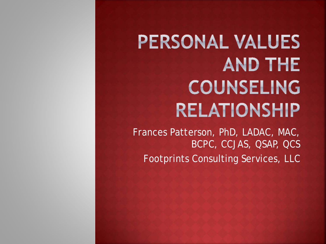## PERSONAL VALUES **AND THE COUNSELING RELATIONSHIP**

Frances Patterson, PhD, LADAC, MAC, BCPC, CCJAS, QSAP, QCS Footprints Consulting Services, LLC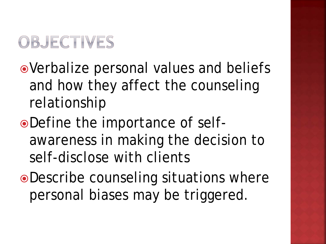### OBJECTIVES

- Verbalize personal values and beliefs and how they affect the counseling relationship
- Define the importance of selfawareness in making the decision to self-disclose with clients
- Describe counseling situations where personal biases may be triggered.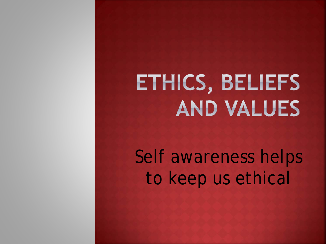# ETHICS, BELIEFS **AND VALUES**

Self awareness helps to keep us ethical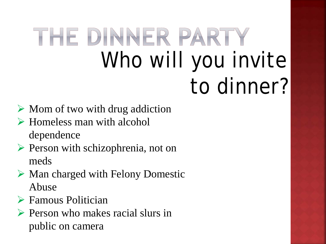## THE DINNER PARTY Who will you invite to dinner?

- $\triangleright$  Mom of two with drug addiction
- Homeless man with alcohol dependence
- $\triangleright$  Person with schizophrenia, not on meds
- $\triangleright$  Man charged with Felony Domestic Abuse
- Famous Politician
- $\triangleright$  Person who makes racial slurs in public on camera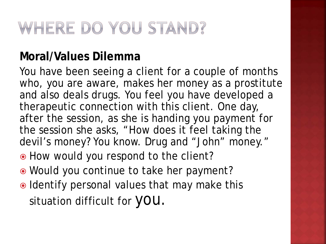### WHERE DO YOU STAND?

#### **Moral/Values Dilemma**

You have been seeing a client for a couple of months who, you are aware, makes her money as a prostitute and also deals drugs. You feel you have developed a therapeutic connection with this client. One day, after the session, as she is handing you payment for the session she asks, "How does it feel taking the devil's money? You know. Drug and "John" money."

- $\bullet$  How would you respond to the client?
- Would you continue to take her payment?
- $\bullet$  Identify personal values that may make this situation difficult for **YOU**.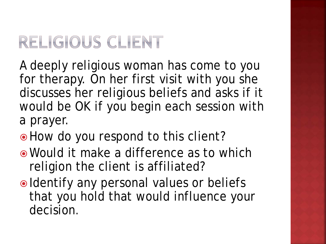### RELIGIOUS CLIENT

A deeply religious woman has come to you for therapy. On her first visit with you she discusses her religious beliefs and asks if it would be OK if you begin each session with a prayer.

- $\bullet$  How do you respond to this client?
- Would it make a difference as to which religion the client is affiliated?
- Identify any personal values or beliefs that you hold that would influence your decision.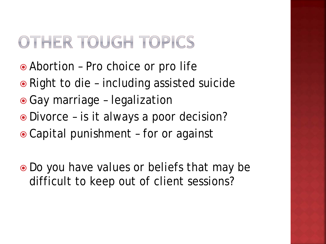### OTHER TOUGH TOPICS

- Abortion Pro choice or pro life
- Right to die including assisted suicide
- Gay marriage legalization
- Divorce is it always a poor decision?
- Capital punishment for or against
- Do you have values or beliefs that may be difficult to keep out of client sessions?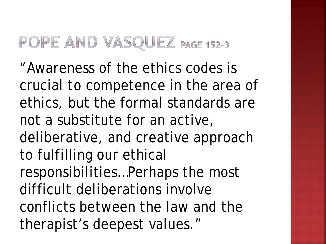### POPE AND VASQUEZ PAGE 152-3

"Awareness of the ethics codes is crucial to competence in the area of ethics, but the formal standards are not a substitute for an active, deliberative, and creative approach to fulfilling our ethical responsibilities…Perhaps the most difficult deliberations involve conflicts between the law and the therapist's deepest values."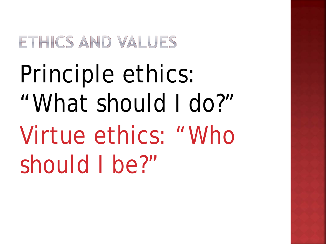### ETHICS AND VALUES

# Principle ethics: "What should I do?" Virtue ethics: "Who should I be?"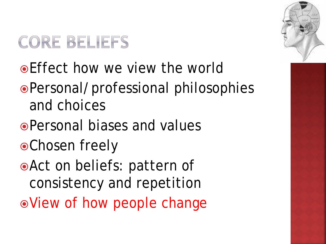### **CORE BELIEFS**

- Effect how we view the world
- Personal/professional philosophies and choices
- Personal biases and values
- Chosen freely
- Act on beliefs: pattern of consistency and repetition
- View of how people change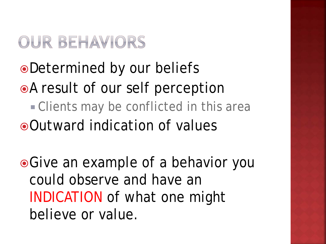### OUR BEHAVIORS

### Determined by our beliefs A result of our self perception **Clients may be conflicted in this area** Outward indication of values

• Give an example of a behavior you could observe and have an INDICATION of what one might believe or value.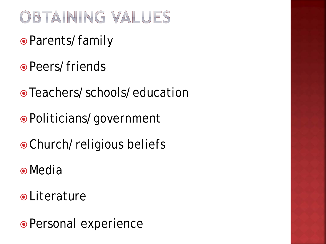### OBTAINING VALUES

- Parents/family
- Peers/friends
- Teachers/schools/education
- Politicians/government
- Church/religious beliefs
- Media
- **o** Literature
- Personal experience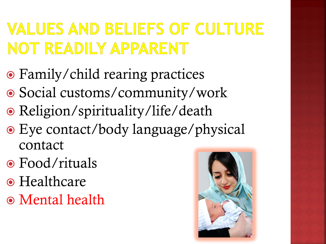### **VALUES AND BELIEFS OF CULTURE** NOT READILY APPARENT

- Family/child rearing practices
- Social customs/community/work
- Religion/spirituality/life/death
- Eye contact/body language/physical contact
- Food/rituals
- Healthcare
- Mental health

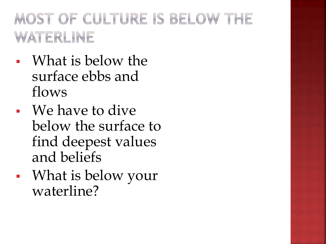### MOST OF CULTURE IS BELOW THE WATERLINE

- What is below the surface ebbs and flows
- We have to dive below the surface to find deepest values and beliefs
- What is below your waterline?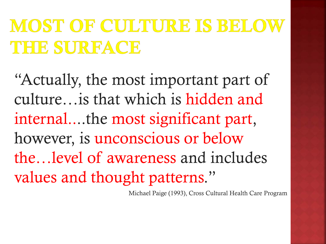## MOST OF CULTURE IS BELO THE SURFACE

"Actually, the most important part of culture…is that which is hidden and internal....the most significant part, however, is unconscious or below the…level of awareness and includes values and thought patterns."

Michael Paige (1993), Cross Cultural Health Care Program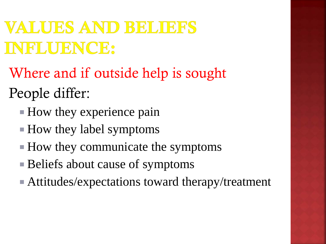### VALUES AND BELIEFS INFLUENCE:

- Where and if outside help is sought
- People differ:
	- $\blacksquare$  How they experience pain
	- $\blacksquare$  How they label symptoms
	- How they communicate the symptoms
	- Beliefs about cause of symptoms
	- Attitudes/expectations toward therapy/treatment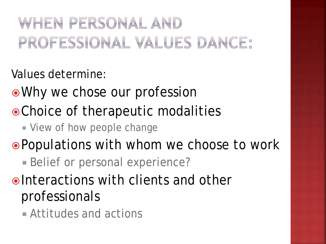### WHEN PERSONAL AND PROFESSIONAL VALUES DANCE:

Values determine:

- Why we chose our profession
- Choice of therapeutic modalities
	- **View of how people change**

Populations with whom we choose to work

- **Belief or personal experience?**
- oInteractions with clients and other professionals
	- Attitudes and actions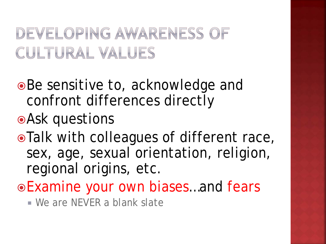### DEVELOPING AWARENESS OF CULTURAL VALUES

- ●Be sensitive to, acknowledge and confront differences directly
- Ask questions
- Talk with colleagues of different race, sex, age, sexual orientation, religion, regional origins, etc.
- Examine your own biases…and fears
	- We are NEVER a blank slate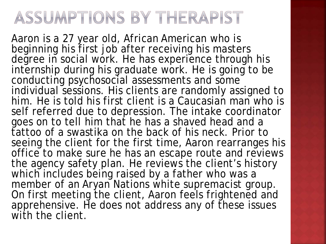### ASSUMPTIONS BY THERAPIST

Aaron is a 27 year old, African American who is beginning his first job after receiving his masters degree in social work. He has experience through his internship during his graduate work. He is going to be conducting psychosocial assessments and some individual sessions. His clients are randomly assigned to him. He is told his first client is a Caucasian man who is self referred due to depression. The intake coordinator goes on to tell him that he has a shaved head and a tattoo of a swastika on the back of his neck. Prior to seeing the client for the first time, Aaron rearranges his office to make sure he has an escape route and reviews the agency safety plan. He reviews the client's history which includes being raised by a father who was a member of an Aryan Nations white supremacist group. On first meeting the client, Aaron feels frightened and apprehensive. He does not address any of these issues with the client.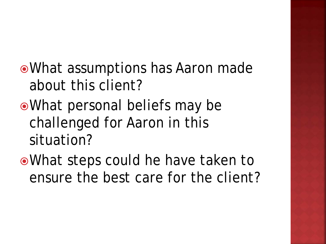What assumptions has Aaron made about this client?

What personal beliefs may be challenged for Aaron in this situation?

What steps could he have taken to ensure the best care for the client?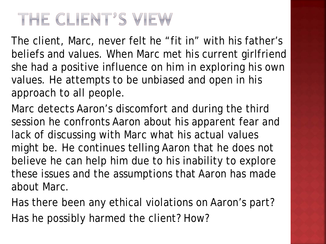### THE CLIENT'S VIEW

The client, Marc, never felt he "fit in" with his father's beliefs and values. When Marc met his current girlfriend she had a positive influence on him in exploring his own values. He attempts to be unbiased and open in his approach to all people.

Marc detects Aaron's discomfort and during the third session he confronts Aaron about his apparent fear and lack of discussing with Marc what his actual values might be. He continues telling Aaron that he does not believe he can help him due to his inability to explore these issues and the assumptions that Aaron has made about Marc.

Has there been any ethical violations on Aaron's part? Has he possibly harmed the client? How?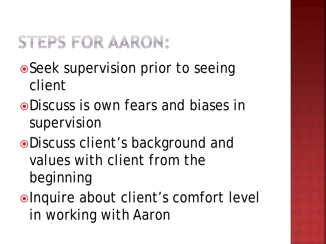### STEPS FOR AARON:

- Seek supervision prior to seeing client
- Discuss is own fears and biases in supervision
- Discuss client's background and values with client from the beginning
- ■Inquire about client's comfort level in working with Aaron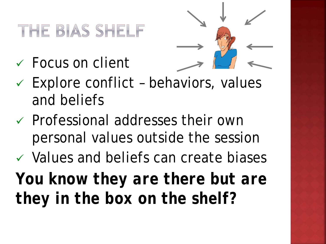### THE BIAS SHELF

Focus on client



- $\times$  Explore conflict behaviors, values and beliefs
- $\checkmark$  Professional addresses their own personal values outside the session
- $\checkmark$  Values and beliefs can create biases *You know they are there but are they in the box on the shelf?*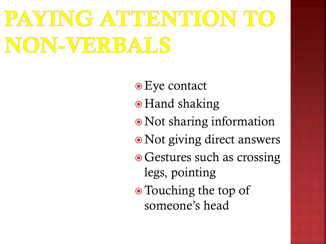# PAYING ATTENTION TO NON-VERBALS

- Eye contact
- Hand shaking
- Not sharing information
- Not giving direct answers
- Gestures such as crossing legs, pointing
- Touching the top of someone's head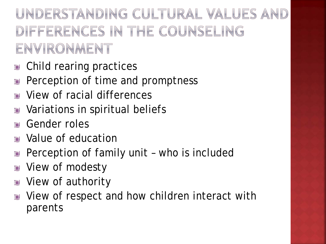UNDERSTANDING CULTURAL VALUES AND DIFFERENCES IN THE COUNSELING ENVIRONMENT

- Child rearing practices L.
- Perception of time and promptness T.
- View of racial differences Г.
- Variations in spiritual beliefs C
- Gender roles Г.
- Value of education **Tak**
- Perception of family unit who is included C
- View of modesty Ū.
- View of authority  $\Gamma$
- View of respect and how children interact with 中 parents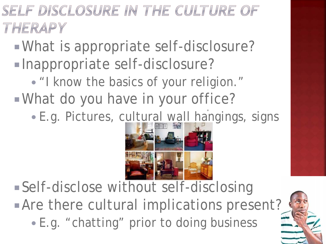SELF DISCLOSURE IN THE CULTURE OF THERAPY

What is appropriate self-disclosure?

- Inappropriate self-disclosure?
- "I know the basics of your religion." What do you have in your office?
	- ' E.g. Pictures, cultural wall hangings, signs



 Self-disclose without self-disclosing **Are there cultural implications present?** E.g. "chatting" prior to doing business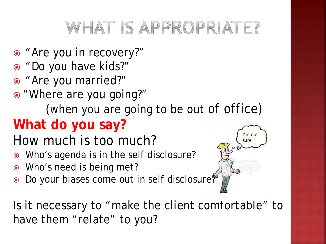### WHAT IS APPROPRIATE?

- "Are you in recovery?"
- "Do you have kids?"
- "Are you married?"
- "Where are you going?"

(when you are going to be out of office)

### **What do you say?**

- How much is too much?
- Who's agenda is in the self disclosure?
- Who's need is being met?
- Do your biases come out in self disclosure?



Is it necessary to "make the client comfortable" to have them "relate" to you?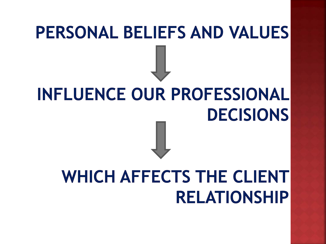# **PERSONAL BELIEFS AND VALUES INFLUENCE OUR PROFESSIONAL**

# **DECISIONS**

## **WHICH AFFECTS THE CLIENT RELATIONSHIP**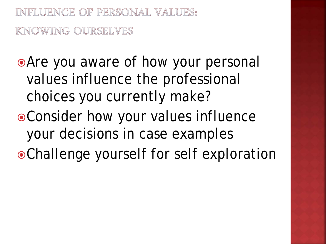INFLUENCE OF PERSONAL VALUES: KNOWING OURSELVES

Are you aware of how your personal values influence the professional choices you currently make?

- Consider how your values influence your decisions in case examples
- Challenge yourself for self exploration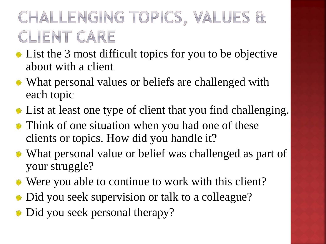### CHALLENGING TOPICS, VALUES & CLIENT CARE

- **List the 3 most difficult topics for you to be objective** about with a client
- What personal values or beliefs are challenged with each topic
- List at least one type of client that you find challenging.
- **\*\*** Think of one situation when you had one of these clients or topics. How did you handle it?
- What personal value or belief was challenged as part of your struggle?
- Were you able to continue to work with this client?
- Did you seek supervision or talk to a colleague? 臡
- Did you seek personal therapy?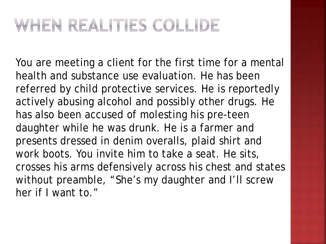### WHEN REALITIES COLLIDE

You are meeting a client for the first time for a mental health and substance use evaluation. He has been referred by child protective services. He is reportedly actively abusing alcohol and possibly other drugs. He has also been accused of molesting his pre-teen daughter while he was drunk. He is a farmer and presents dressed in denim overalls, plaid shirt and work boots. You invite him to take a seat. He sits, crosses his arms defensively across his chest and states without preamble, "She's my daughter and I'll screw her if I want to."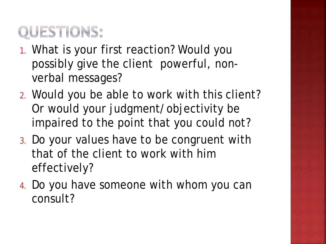### QUESTIONS:

- 1. What is your first reaction? Would you possibly give the client powerful, nonverbal messages?
- 2. Would you be able to work with this client? Or would your judgment/objectivity be impaired to the point that you could not?
- 3. Do your values have to be congruent with that of the client to work with him effectively?
- 4. Do you have someone with whom you can consult?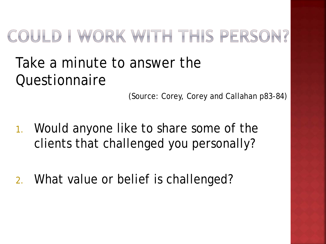### COULD I WORK WITH THIS PERSON?

### Take a minute to answer the **Ouestionnaire**

(Source: Corey, Corey and Callahan p83-84)

- 1. Would anyone like to share some of the clients that challenged you personally?
- 2. What value or belief is challenged?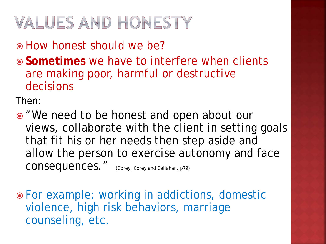### VALUES AND HONESTY

How honest should we be?

 **Sometimes** we have to interfere when clients are making poor, harmful or destructive decisions

Then:

• "We need to be honest and open about our views, collaborate with the client in setting goals that fit his or her needs then step aside and allow the person to exercise autonomy and face CONSequences." (Corey, Corey and Callahan, p79)

 For example: working in addictions, domestic violence, high risk behaviors, marriage counseling, etc.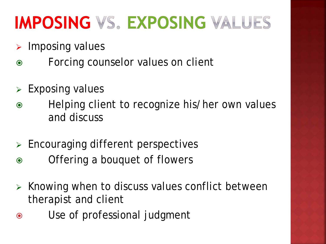### **IMPOSING VS. EXPOSING VALUES**

- $\triangleright$  Imposing values
- Forcing counselor values on client
- $\triangleright$  Exposing values
- Helping client to recognize his/her own values and discuss
- $\triangleright$  Encouraging different perspectives
- Offering a bouquet of flowers
- $\triangleright$  Knowing when to discuss values conflict between therapist and client
- Use of professional judgment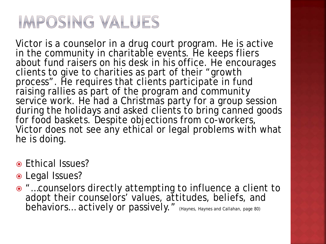### IMPOSING VALUES

Victor is a counselor in a drug court program. He is active in the community in charitable events. He keeps fliers about fund raisers on his desk in his office. He encourages clients to give to charities as part of their "growth process". He requires that clients participate in fund raising rallies as part of the program and community service work. He had a Christmas party for a group session during the holidays and asked clients to bring canned goods for food baskets. Despite objections from co-workers, Victor does not see any ethical or legal problems with what he is doing.

- Ethical Issues?
- Legal Issues?
- "…counselors directly attempting to influence a client to adopt their counselors' values, attitudes, beliefs, and behaviors... actively or passively." (Haynes, Haynes and Callahan, page 80)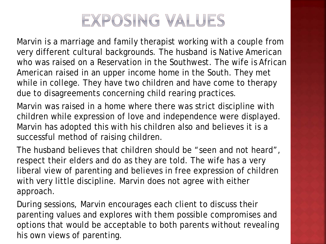

Marvin is a marriage and family therapist working with a couple from very different cultural backgrounds. The husband is Native American who was raised on a Reservation in the Southwest. The wife is African American raised in an upper income home in the South. They met while in college. They have two children and have come to therapy due to disagreements concerning child rearing practices.

Marvin was raised in a home where there was strict discipline with children while expression of love and independence were displayed. Marvin has adopted this with his children also and believes it is a successful method of raising children.

The husband believes that children should be "seen and not heard", respect their elders and do as they are told. The wife has a very liberal view of parenting and believes in free expression of children with very little discipline. Marvin does not agree with either approach.

During sessions, Marvin encourages each client to discuss their parenting values and explores with them possible compromises and options that would be acceptable to both parents without revealing his own views of parenting.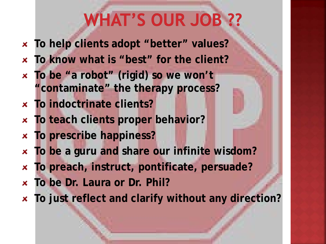## **WHAT'S OUR JOB ??**

- **To help clients adopt "better" values?**
- **To know what is "best" for the client?**
- **To be "a robot" (rigid) so we won't**   $\mathbf{x}$ **"contaminate" the therapy process?**
- **To indoctrinate clients?**
- **To teach clients proper behavior?**   $\mathbf{x}$
- **To prescribe happiness?**  $\pmb{\times}$
- **To be a guru and share our infinite wisdom?**  $\mathbf{x}$
- **To preach, instruct, pontificate, persuade?**  $\mathbf{x}$
- **To be Dr. Laura or Dr. Phil?**
- **To just reflect and clarify without any direction?**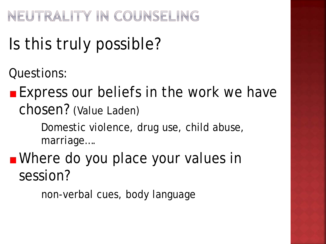NEUTRALITY IN COUNSELING

## Is this truly possible?

Questions:

**Express our beliefs in the work we have** chosen? (Value Laden)

> Domestic violence, drug use, child abuse, marriage….

**Nhere do you place your values in** session?

non-verbal cues, body language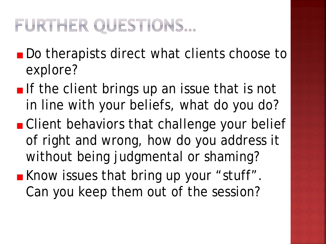### FURTHER QUESTIONS...

- Do therapists direct what clients choose to explore?
- If the client brings up an issue that is not in line with your beliefs, what do you do?
- Client behaviors that challenge your belief of right and wrong, how do you address it without being judgmental or shaming?
- **K**now issues that bring up your "stuff". Can you keep them out of the session?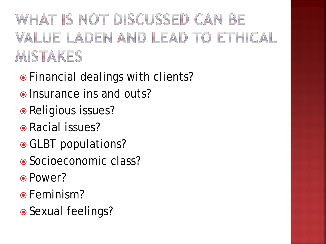WHAT IS NOT DISCUSSED CAN BE VALUE LADEN AND LEAD TO ETHICAL MISTAKES

- Financial dealings with clients?
- Insurance ins and outs?
- Religious issues?
- Racial issues?
- GLBT populations?
- Socioeconomic class?
- Power?
- **•** Feminism?
- Sexual feelings?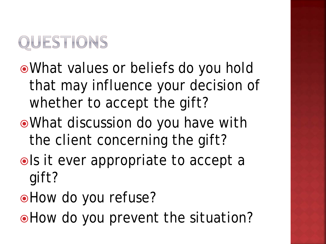

- What values or beliefs do you hold that may influence your decision of whether to accept the gift?
- What discussion do you have with the client concerning the gift?
- ols it ever appropriate to accept a gift?
- How do you refuse?
- . How do you prevent the situation?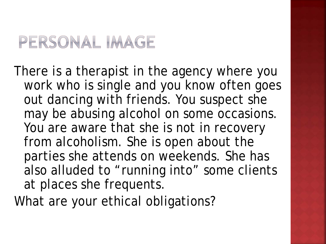### PERSONAL IMAGE

There is a therapist in the agency where you work who is single and you know often goes out dancing with friends. You suspect she may be abusing alcohol on some occasions. You are aware that she is not in recovery from alcoholism. She is open about the parties she attends on weekends. She has also alluded to "running into" some clients at places she frequents.

What are your ethical obligations?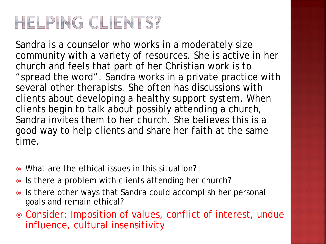### HELPING CLIENTS?

Sandra is a counselor who works in a moderately size community with a variety of resources. She is active in her church and feels that part of her Christian work is to "spread the word". Sandra works in a private practice with several other therapists. She often has discussions with clients about developing a healthy support system. When clients begin to talk about possibly attending a church, Sandra invites them to her church. She believes this is a good way to help clients and share her faith at the same time.

- What are the ethical issues in this situation?
- Is there a problem with clients attending her church?
- Is there other ways that Sandra could accomplish her personal goals and remain ethical?
- Consider: Imposition of values, conflict of interest, undue influence, cultural insensitivity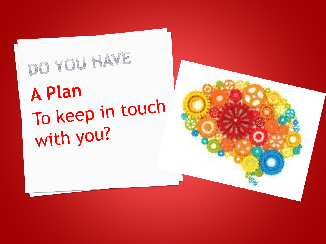# DO YOU HAVE **A Plan** To keep in touch with you?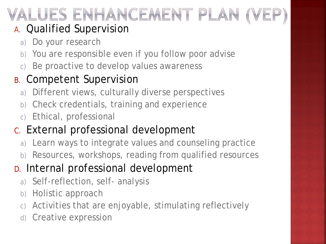## ALUES ENHANCEMENT PLAN

#### A. Qualified Supervision

- a) Do your research
- b) You are responsible even if you follow poor advise
- c) Be proactive to develop values awareness

### B. Competent Supervision

- a) Different views, culturally diverse perspectives
- b) Check credentials, training and experience
- c) Ethical, professional

### C. External professional development

- a) Learn ways to integrate values and counseling practice
- b) Resources, workshops, reading from qualified resources

### D. Internal professional development

- a) Self-reflection, self- analysis
- b) Holistic approach
- c) Activities that are enjoyable, stimulating reflectively
- d) Creative expression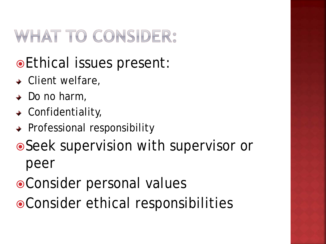### WHAT TO CONSIDER:

### Ethical issues present:

- $\triangleleft$  Client welfare,
- $\rightarrow$  Do no harm,
- $\triangleleft$  Confidentiality,
- ◆ Professional responsibility
- Seek supervision with supervisor or peer
- Consider personal values
- Consider ethical responsibilities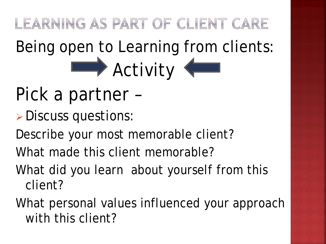LEARNING AS PART OF CLIENT CARE Being open to Learning from clients: Activity

- Pick a partner –
- Discuss questions:
- Describe your most memorable client?
- What made this client memorable?
- What did you learn about yourself from this client?
- What personal values influenced your approach with this client?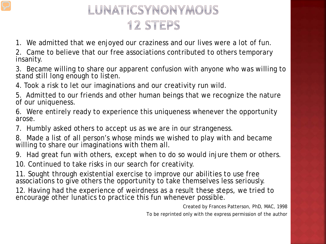### LUNATICSYNONYMOUS 12 STEPS

1. We admitted that we enjoyed our craziness and our lives were a lot of fun.

2. Came to believe that our free associations contributed to others temporary insanity.

3. Became willing to share our apparent confusion with anyone who was willing to stand still long enough to listen.

4. Took a risk to let our imaginations and our creativity run wild.

5. Admitted to our friends and other human beings that we recognize the nature of our uniqueness.

6. Were entirely ready to experience this uniqueness whenever the opportunity arose.

7. Humbly asked others to accept us as we are in our strangeness.

8. Made a list of all person's whose minds we wished to play with and became willing to share our imaginations with them all.

9. Had great fun with others, except when to do so would injure them or others.

10. Continued to take risks in our search for creativity.

11. Sought through existential exercise to improve our abilities to use free associations to give others the opportunity to take themselves less seriously.

12. Having had the experience of weirdness as a result these steps, we tried to encourage other lunatics to practice this fun whenever possible.

> Created by Frances Patterson, PhD, MAC, 1998 To be reprinted only with the express permission of the author